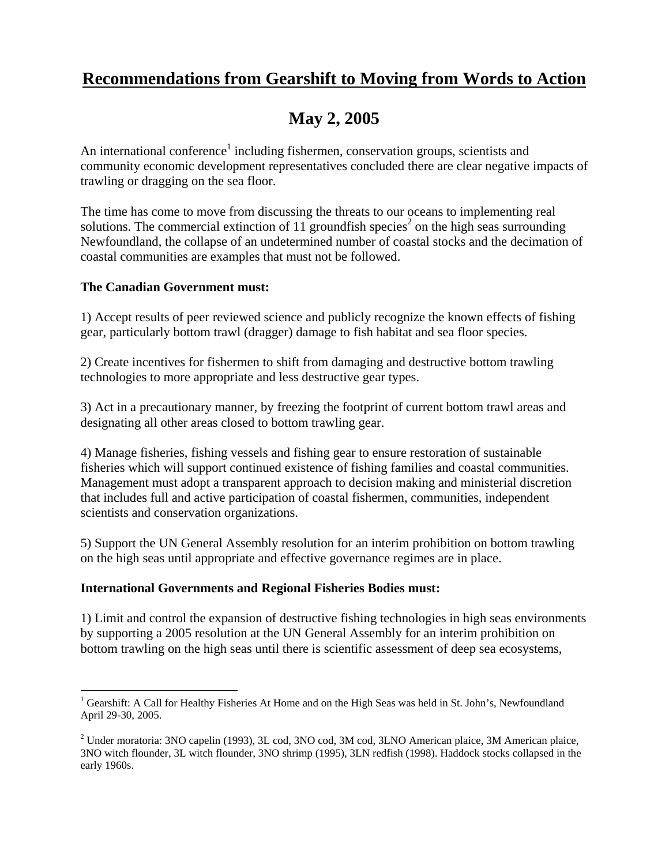## **Recommendations from Gearshift to Moving from Words to Action**

# **May 2, 2005**

An international conference<sup>1</sup> including fishermen, conservation groups, scientists and community economic development representatives concluded there are clear negative impacts of trawling or dragging on the sea floor.

The time has come to move from discussing the threats to our oceans to implementing real solutions. The commercial extinction of 11 groundfish species<sup>2</sup> on the high seas surrounding Newfoundland, the collapse of an undetermined number of coastal stocks and the decimation of coastal communities are examples that must not be followed.

### **The Canadian Government must:**

1) Accept results of peer reviewed science and publicly recognize the known effects of fishing gear, particularly bottom trawl (dragger) damage to fish habitat and sea floor species.

2) Create incentives for fishermen to shift from damaging and destructive bottom trawling technologies to more appropriate and less destructive gear types.

3) Act in a precautionary manner, by freezing the footprint of current bottom trawl areas and designating all other areas closed to bottom trawling gear.

4) Manage fisheries, fishing vessels and fishing gear to ensure restoration of sustainable fisheries which will support continued existence of fishing families and coastal communities. Management must adopt a transparent approach to decision making and ministerial discretion that includes full and active participation of coastal fishermen, communities, independent scientists and conservation organizations.

5) Support the UN General Assembly resolution for an interim prohibition on bottom trawling on the high seas until appropriate and effective governance regimes are in place.

### **International Governments and Regional Fisheries Bodies must:**

1) Limit and control the expansion of destructive fishing technologies in high seas environments by supporting a 2005 resolution at the UN General Assembly for an interim prohibition on bottom trawling on the high seas until there is scientific assessment of deep sea ecosystems,

<sup>&</sup>lt;sup>1</sup> Gearshift: A Call for Healthy Fisheries At Home and on the High Seas was held in St. John's, Newfoundland April 29-30, 2005.

<sup>&</sup>lt;sup>2</sup> Under moratoria: 3NO capelin (1993), 3L cod, 3NO cod, 3M cod, 3LNO American plaice, 3M American plaice, 3NO witch flounder, 3L witch flounder, 3NO shrimp (1995), 3LN redfish (1998). Haddock stocks collapsed in the early 1960s.